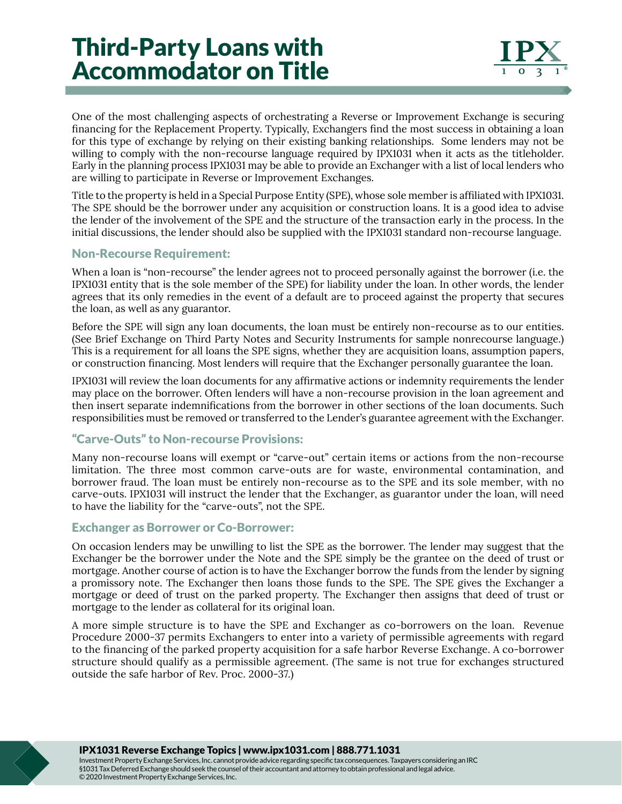# Third-Party Loans with Accommodator on Title

One of the most challenging aspects of orchestrating a Reverse or Improvement Exchange is securing financing for the Replacement Property. Typically, Exchangers find the most success in obtaining a loan for this type of exchange by relying on their existing banking relationships. Some lenders may not be willing to comply with the non-recourse language required by IPX1031 when it acts as the titleholder. Early in the planning process IPX1031 may be able to provide an Exchanger with a list of local lenders who are willing to participate in Reverse or Improvement Exchanges.

Title to the property is held in a Special Purpose Entity (SPE), whose sole member is affiliated with IPX1031. The SPE should be the borrower under any acquisition or construction loans. It is a good idea to advise the lender of the involvement of the SPE and the structure of the transaction early in the process. In the initial discussions, the lender should also be supplied with the IPX1031 standard non-recourse language.

### Non-Recourse Requirement:

When a loan is "non-recourse" the lender agrees not to proceed personally against the borrower (i.e. the IPX1031 entity that is the sole member of the SPE) for liability under the loan. In other words, the lender agrees that its only remedies in the event of a default are to proceed against the property that secures the loan, as well as any guarantor.

Before the SPE will sign any loan documents, the loan must be entirely non-recourse as to our entities. (See Brief Exchange on Third Party Notes and Security Instruments for sample nonrecourse language.) This is a requirement for all loans the SPE signs, whether they are acquisition loans, assumption papers, or construction financing. Most lenders will require that the Exchanger personally guarantee the loan.

IPX1031 will review the loan documents for any affirmative actions or indemnity requirements the lender may place on the borrower. Often lenders will have a non-recourse provision in the loan agreement and then insert separate indemnifications from the borrower in other sections of the loan documents. Such responsibilities must be removed or transferred to the Lender's guarantee agreement with the Exchanger.

### "Carve-Outs" to Non-recourse Provisions:

Many non-recourse loans will exempt or "carve-out" certain items or actions from the non-recourse limitation. The three most common carve-outs are for waste, environmental contamination, and borrower fraud. The loan must be entirely non-recourse as to the SPE and its sole member, with no carve-outs. IPX1031 will instruct the lender that the Exchanger, as guarantor under the loan, will need to have the liability for the "carve-outs", not the SPE.

## Exchanger as Borrower or Co-Borrower:

On occasion lenders may be unwilling to list the SPE as the borrower. The lender may suggest that the Exchanger be the borrower under the Note and the SPE simply be the grantee on the deed of trust or mortgage. Another course of action is to have the Exchanger borrow the funds from the lender by signing a promissory note. The Exchanger then loans those funds to the SPE. The SPE gives the Exchanger a mortgage or deed of trust on the parked property. The Exchanger then assigns that deed of trust or mortgage to the lender as collateral for its original loan.

A more simple structure is to have the SPE and Exchanger as co-borrowers on the loan. Revenue Procedure 2000-37 permits Exchangers to enter into a variety of permissible agreements with regard to the financing of the parked property acquisition for a safe harbor Reverse Exchange. A co-borrower structure should qualify as a permissible agreement. (The same is not true for exchanges structured outside the safe harbor of Rev. Proc. 2000-37.)

IPX1031 Reverse Exchange Topics | www.ipx1031.com | 888.771.1031

Investment Property Exchange Services, Inc. cannot provide advice regarding specific tax consequences. Taxpayers considering an IRC §1031 Tax Deferred Exchange should seek the counsel of their accountant and attorney to obtain professional and legal advice. © 2020 Investment Property Exchange Services, Inc.